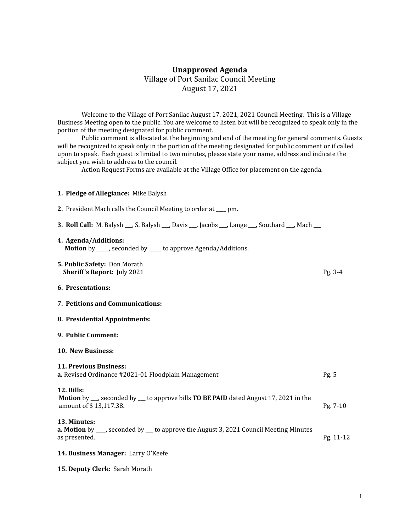## **Unapproved Agenda** Village of Port Sanilac Council Meeting August 17, 2021

Welcome to the Village of Port Sanilac August 17, 2021, 2021 Council Meeting. This is a Village Business Meeting open to the public. You are welcome to listen but will be recognized to speak only in the portion of the meeting designated for public comment.

Public comment is allocated at the beginning and end of the meeting for general comments. Guests will be recognized to speak only in the portion of the meeting designated for public comment or if called upon to speak. Each guest is limited to two minutes, please state your name, address and indicate the subject you wish to address to the council.

Action Request Forms are available at the Village Office for placement on the agenda.

## **1. Pledge of Allegiance:** Mike Balysh

| 2. President Mach calls the Council Meeting to order at ___ pm.                                                                                      |           |
|------------------------------------------------------------------------------------------------------------------------------------------------------|-----------|
| <b>3. Roll Call:</b> M. Balysh __, S. Balysh __, Davis __, Jacobs __, Lange __, Southard __, Mach __                                                 |           |
| 4. Agenda/Additions:<br><b>Motion</b> by _____, seconded by ____ to approve Agenda/Additions.                                                        |           |
| 5. Public Safety: Don Morath<br><b>Sheriff's Report:</b> July 2021                                                                                   | Pg. 3-4   |
| 6. Presentations:                                                                                                                                    |           |
| 7. Petitions and Communications:                                                                                                                     |           |
| 8. Presidential Appointments:                                                                                                                        |           |
| 9. Public Comment:                                                                                                                                   |           |
| 10. New Business:                                                                                                                                    |           |
| <b>11. Previous Business:</b><br>a. Revised Ordinance #2021-01 Floodplain Management                                                                 | Pg. 5     |
| <b>12. Bills:</b><br><b>Motion</b> by ___, seconded by ___ to approve bills <b>TO BE PAID</b> dated August 17, 2021 in the<br>amount of \$13,117.38. | Pg. 7-10  |
| 13. Minutes:<br><b>a. Motion</b> by ___, seconded by __ to approve the August 3, 2021 Council Meeting Minutes<br>as presented.                       | Pg. 11-12 |
| 14. Business Manager: Larry O'Keefe                                                                                                                  |           |

**15. Deputy Clerk:** Sarah Morath